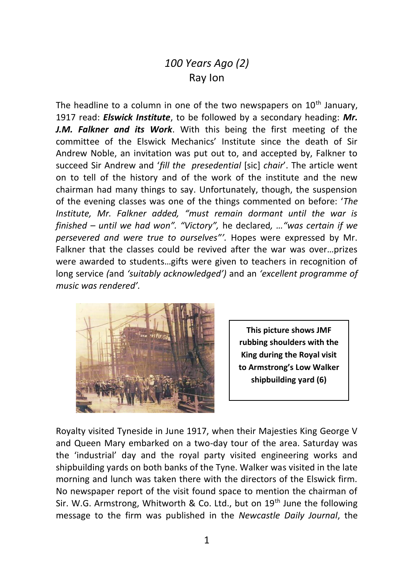## *100 Years Ago (2)* Ray Ion

The headline to a column in one of the two newspapers on 10<sup>th</sup> January. 1917 read: *Elswick Institute*, to be followed by a secondary heading: *Mr. J.M. Falkner and its Work*. With this being the first meeting of the committee of the Elswick Mechanics' Institute since the death of Sir Andrew Noble, an invitation was put out to, and accepted by, Falkner to succeed Sir Andrew and '*fill the presedential* [sic] *chair*'. The article went on to tell of the history and of the work of the institute and the new chairman had many things to say. Unfortunately, though, the suspension of the evening classes was one of the things commented on before: '*The Institute, Mr. Falkner added, "must remain dormant until the war is finished – until we had won". "Victory",* he declared*, …"was certain if we persevered and were true to ourselves"'.* Hopes were expressed by Mr. Falkner that the classes could be revived after the war was over…prizes were awarded to students…gifts were given to teachers in recognition of long service *(*and *'suitably acknowledged')* and an *'excellent programme of music was rendered'.*



**This picture shows JMF rubbing shoulders with the King during the Royal visit to Armstrong's Low Walker shipbuilding yard (6)**

Royalty visited Tyneside in June 1917, when their Majesties King George V and Queen Mary embarked on a two-day tour of the area. Saturday was the 'industrial' day and the royal party visited engineering works and shipbuilding yards on both banks of the Tyne. Walker was visited in the late morning and lunch was taken there with the directors of the Elswick firm. No newspaper report of the visit found space to mention the chairman of Sir. W.G. Armstrong, Whitworth & Co. Ltd., but on  $19<sup>th</sup>$  June the following message to the firm was published in the *Newcastle Daily Journal*, the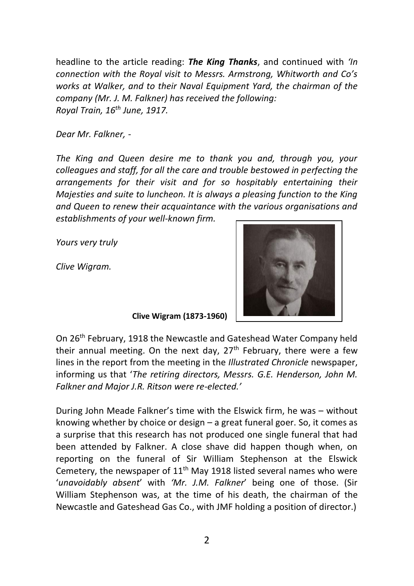headline to the article reading: *The King Thanks*, and continued with *'In connection with the Royal visit to Messrs. Armstrong, Whitworth and Co's works at Walker, and to their Naval Equipment Yard, the chairman of the company (Mr. J. M. Falkner) has received the following: Royal Train, 16th June, 1917.*

*Dear Mr. Falkner, -*

*The King and Queen desire me to thank you and, through you, your colleagues and staff, for all the care and trouble bestowed in perfecting the arrangements for their visit and for so hospitably entertaining their Majesties and suite to luncheon. It is always a pleasing function to the King and Queen to renew their acquaintance with the various organisations and establishments of your well-known firm.*

*Yours very truly*

*Clive Wigram.*



 **Clive Wigram (1873-1960)**

On 26th February, 1918 the Newcastle and Gateshead Water Company held their annual meeting. On the next day,  $27<sup>th</sup>$  February, there were a few lines in the report from the meeting in the *Illustrated Chronicle* newspaper, informing us that '*The retiring directors, Messrs. G.E. Henderson, John M. Falkner and Major J.R. Ritson were re-elected.'*

During John Meade Falkner's time with the Elswick firm, he was – without knowing whether by choice or design – a great funeral goer. So, it comes as a surprise that this research has not produced one single funeral that had been attended by Falkner. A close shave did happen though when, on reporting on the funeral of Sir William Stephenson at the Elswick Cemetery, the newspaper of 11<sup>th</sup> May 1918 listed several names who were '*unavoidably absent*' with *'Mr. J.M. Falkner*' being one of those. (Sir William Stephenson was, at the time of his death, the chairman of the Newcastle and Gateshead Gas Co., with JMF holding a position of director.)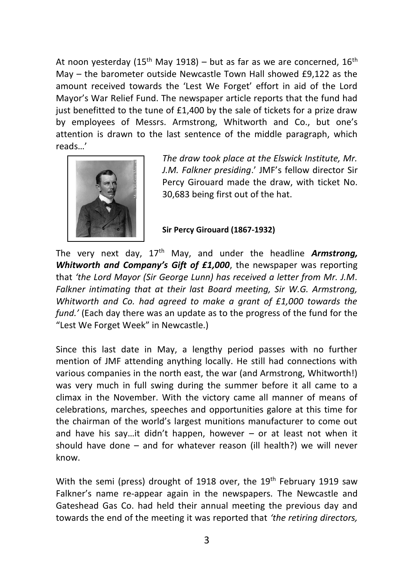At noon vesterday (15<sup>th</sup> May 1918) – but as far as we are concerned, 16<sup>th</sup> May – the barometer outside Newcastle Town Hall showed £9,122 as the amount received towards the 'Lest We Forget' effort in aid of the Lord Mayor's War Relief Fund. The newspaper article reports that the fund had just benefitted to the tune of £1,400 by the sale of tickets for a prize draw by employees of Messrs. Armstrong, Whitworth and Co., but one's attention is drawn to the last sentence of the middle paragraph, which reads…'



*The draw took place at the Elswick Institute, Mr. J.M. Falkner presiding*.' JMF's fellow director Sir Percy Girouard made the draw, with ticket No. 30,683 being first out of the hat.

**Sir Percy Girouard (1867-1932)**

The very next day, 17<sup>th</sup> May, and under the headline *Armstrong*. *Whitworth and Company's Gift of £1,000*, the newspaper was reporting that *'the Lord Mayor (Sir George Lunn) has received a letter from Mr. J.M. Falkner intimating that at their last Board meeting, Sir W.G. Armstrong, Whitworth and Co. had agreed to make a grant of £1,000 towards the fund.'* (Each day there was an update as to the progress of the fund for the "Lest We Forget Week" in Newcastle.)

Since this last date in May, a lengthy period passes with no further mention of JMF attending anything locally. He still had connections with various companies in the north east, the war (and Armstrong, Whitworth!) was very much in full swing during the summer before it all came to a climax in the November. With the victory came all manner of means of celebrations, marches, speeches and opportunities galore at this time for the chairman of the world's largest munitions manufacturer to come out and have his say...it didn't happen, however  $-$  or at least not when it should have done – and for whatever reason (ill health?) we will never know.

With the semi (press) drought of 1918 over, the 19<sup>th</sup> February 1919 saw Falkner's name re-appear again in the newspapers. The Newcastle and Gateshead Gas Co. had held their annual meeting the previous day and towards the end of the meeting it was reported that *'the retiring directors,*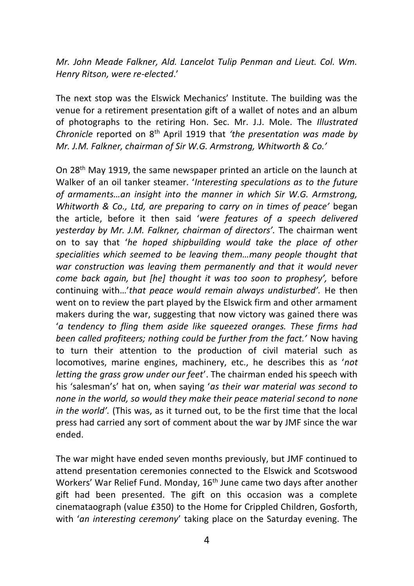*Mr. John Meade Falkner, Ald. Lancelot Tulip Penman and Lieut. Col. Wm. Henry Ritson, were re-elected*.'

The next stop was the Elswick Mechanics' Institute. The building was the venue for a retirement presentation gift of a wallet of notes and an album of photographs to the retiring Hon. Sec. Mr. J.J. Mole. The *Illustrated Chronicle* reported on 8th April 1919 that *'the presentation was made by Mr. J.M. Falkner, chairman of Sir W.G. Armstrong, Whitworth & Co.'*

On 28th May 1919, the same newspaper printed an article on the launch at Walker of an oil tanker steamer. '*Interesting speculations as to the future of armaments…an insight into the manner in which Sir W.G. Armstrong, Whitworth & Co., Ltd, are preparing to carry on in times of peace'* began the article, before it then said '*were features of a speech delivered yesterday by Mr. J.M. Falkner, chairman of directors'.* The chairman went on to say that '*he hoped shipbuilding would take the place of other specialities which seemed to be leaving them…many people thought that war construction was leaving them permanently and that it would never come back again, but [he] thought it was too soon to prophesy',* before continuing with…'*that peace would remain always undisturbed'.* He then went on to review the part played by the Elswick firm and other armament makers during the war, suggesting that now victory was gained there was '*a tendency to fling them aside like squeezed oranges. These firms had been called profiteers; nothing could be further from the fact.'* Now having to turn their attention to the production of civil material such as locomotives, marine engines, machinery, etc., he describes this as '*not letting the grass grow under our feet*'. The chairman ended his speech with his 'salesman's' hat on, when saying '*as their war material was second to none in the world, so would they make their peace material second to none in the world'.* (This was, as it turned out, to be the first time that the local press had carried any sort of comment about the war by JMF since the war ended.

The war might have ended seven months previously, but JMF continued to attend presentation ceremonies connected to the Elswick and Scotswood Workers' War Relief Fund. Monday, 16<sup>th</sup> June came two days after another gift had been presented. The gift on this occasion was a complete cinemataograph (value £350) to the Home for Crippled Children, Gosforth, with '*an interesting ceremony*' taking place on the Saturday evening. The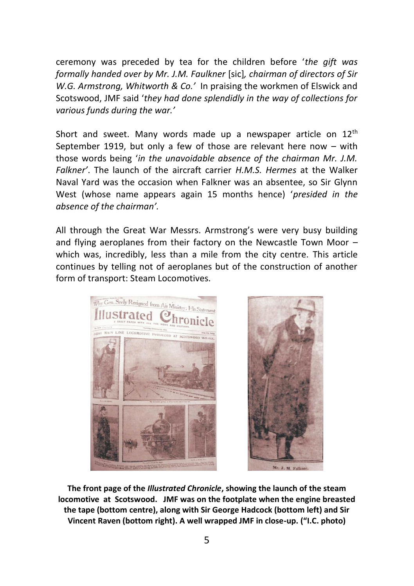ceremony was preceded by tea for the children before '*the gift was formally handed over by Mr. J.M. Faulkner* [sic]*, chairman of directors of Sir W.G. Armstrong, Whitworth & Co.'* In praising the workmen of Elswick and Scotswood, JMF said '*they had done splendidly in the way of collections for various funds during the war.'*

Short and sweet. Many words made up a newspaper article on  $12<sup>th</sup>$ September 1919, but only a few of those are relevant here now – with those words being '*in the unavoidable absence of the chairman Mr. J.M. Falkner'*. The launch of the aircraft carrier *H.M.S. Hermes* at the Walker Naval Yard was the occasion when Falkner was an absentee, so Sir Glynn West (whose name appears again 15 months hence) '*presided in the absence of the chairman'.*

All through the Great War Messrs. Armstrong's were very busy building and flying aeroplanes from their factory on the Newcastle Town Moor – which was, incredibly, less than a mile from the city centre. This article continues by telling not of aeroplanes but of the construction of another form of transport: Steam Locomotives.



**The front page of the** *Illustrated Chronicle***, showing the launch of the steam locomotive at Scotswood. JMF was on the footplate when the engine breasted the tape (bottom centre), along with Sir George Hadcock (bottom left) and Sir Vincent Raven (bottom right). A well wrapped JMF in close-up. ("I.C. photo)**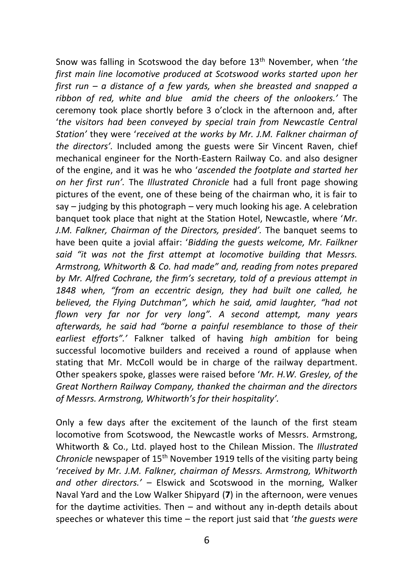Snow was falling in Scotswood the day before 13th November, when '*the first main line locomotive produced at Scotswood works started upon her first run – a distance of a few yards, when she breasted and snapped a ribbon of red, white and blue amid the cheers of the onlookers.'* The ceremony took place shortly before 3 o'clock in the afternoon and, after '*the visitors had been conveyed by special train from Newcastle Central Station'* they were '*received at the works by Mr. J.M. Falkner chairman of the directors'.* Included among the guests were Sir Vincent Raven, chief mechanical engineer for the North-Eastern Railway Co. and also designer of the engine, and it was he who '*ascended the footplate and started her on her first run'.* The *Illustrated Chronicle* had a full front page showing pictures of the event, one of these being of the chairman who, it is fair to say – judging by this photograph – very much looking his age. A celebration banquet took place that night at the Station Hotel, Newcastle, where '*Mr. J.M. Falkner, Chairman of the Directors, presided'.* The banquet seems to have been quite a jovial affair: '*Bidding the guests welcome, Mr. Failkner said "it was not the first attempt at locomotive building that Messrs. Armstrong, Whitworth & Co. had made" and, reading from notes prepared by Mr. Alfred Cochrane, the firm's secretary, told of a previous attempt in 1848 when, "from an eccentric design, they had built one called, he believed, the Flying Dutchman", which he said, amid laughter, "had not flown very far nor for very long". A second attempt, many years afterwards, he said had "borne a painful resemblance to those of their earliest efforts".'* Falkner talked of having *high ambition* for being successful locomotive builders and received a round of applause when stating that Mr. McColl would be in charge of the railway department. Other speakers spoke, glasses were raised before '*Mr. H.W. Gresley, of the Great Northern Railway Company, thanked the chairman and the directors of Messrs. Armstrong, Whitworth's for their hospitality'.*

Only a few days after the excitement of the launch of the first steam locomotive from Scotswood, the Newcastle works of Messrs. Armstrong, Whitworth & Co., Ltd. played host to the Chilean Mission. The *Illustrated Chronicle* newspaper of 15<sup>th</sup> November 1919 tells of the visiting party being '*received by Mr. J.M. Falkner, chairman of Messrs. Armstrong, Whitworth and other directors.'* – Elswick and Scotswood in the morning, Walker Naval Yard and the Low Walker Shipyard (**7**) in the afternoon, were venues for the daytime activities. Then – and without any in-depth details about speeches or whatever this time – the report just said that '*the guests were*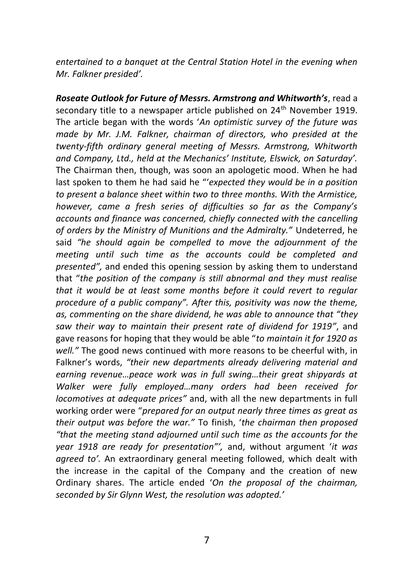*entertained to a banquet at the Central Station Hotel in the evening when Mr. Falkner presided'.*

*Roseate Outlook for Future of Messrs. Armstrong and Whitworth's*, read a secondary title to a newspaper article published on 24<sup>th</sup> November 1919. The article began with the words '*An optimistic survey of the future was made by Mr. J.M. Falkner, chairman of directors, who presided at the twenty-fifth ordinary general meeting of Messrs. Armstrong, Whitworth and Company, Ltd., held at the Mechanics' Institute, Elswick, on Saturday'.*  The Chairman then, though, was soon an apologetic mood. When he had last spoken to them he had said he "'*expected they would be in a position to present a balance sheet within two to three months. With the Armistice, however, came a fresh series of difficulties so far as the Company's accounts and finance was concerned, chiefly connected with the cancelling of orders by the Ministry of Munitions and the Admiralty."* Undeterred, he said *"he should again be compelled to move the adjournment of the meeting until such time as the accounts could be completed and presented",* and ended this opening session by asking them to understand that "*the position of the company is still abnormal and they must realise that it would be at least some months before it could revert to regular procedure of a public company". After this, positivity was now the theme, as, commenting on the share dividend, he was able to announce that "they saw their way to maintain their present rate of dividend for 1919"*, and gave reasons for hoping that they would be able "*to maintain it for 1920 as well."* The good news continued with more reasons to be cheerful with, in Falkner's words, *"their new departments already delivering material and earning revenue…peace work was in full swing…their great shipyards at Walker were fully employed…many orders had been received for locomotives at adequate prices"* and, with all the new departments in full working order were "*prepared for an output nearly three times as great as their output was before the war."* To finish, '*the chairman then proposed "that the meeting stand adjourned until such time as the accounts for the year 1918 are ready for presentation"',* and, without argument '*it was agreed to'.* An extraordinary general meeting followed, which dealt with the increase in the capital of the Company and the creation of new Ordinary shares. The article ended '*On the proposal of the chairman, seconded by Sir Glynn West, the resolution was adopted.'*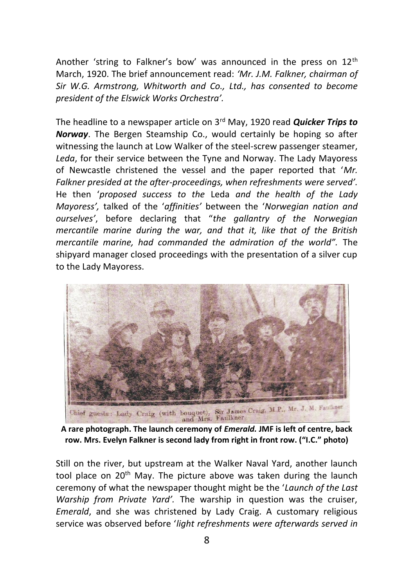Another 'string to Falkner's bow' was announced in the press on  $12<sup>th</sup>$ March, 1920. The brief announcement read: *'Mr. J.M. Falkner, chairman of Sir W.G. Armstrong, Whitworth and Co., Ltd., has consented to become president of the Elswick Works Orchestra'.*

The headline to a newspaper article on 3rd May, 1920 read *Quicker Trips to Norway*. The Bergen Steamship Co., would certainly be hoping so after witnessing the launch at Low Walker of the steel-screw passenger steamer, *Leda*, for their service between the Tyne and Norway. The Lady Mayoress of Newcastle christened the vessel and the paper reported that '*Mr. Falkner presided at the after-proceedings, when refreshments were served'.*  He then '*proposed success to the* Leda *and the health of the Lady Mayoress',* talked of the '*affinities'* between the '*Norwegian nation and ourselves'*, before declaring that "*the gallantry of the Norwegian mercantile marine during the war, and that it, like that of the British mercantile marine, had commanded the admiration of the world".* The shipyard manager closed proceedings with the presentation of a silver cup to the Lady Mayoress.



**row. Mrs. Evelyn Falkner is second lady from right in front row. ("I.C." photo)**

Still on the river, but upstream at the Walker Naval Yard, another launch tool place on 20<sup>th</sup> May. The picture above was taken during the launch ceremony of what the newspaper thought might be the '*Launch of the Last Warship from Private Yard'.* The warship in question was the cruiser, *Emerald*, and she was christened by Lady Craig. A customary religious service was observed before '*light refreshments were afterwards served in*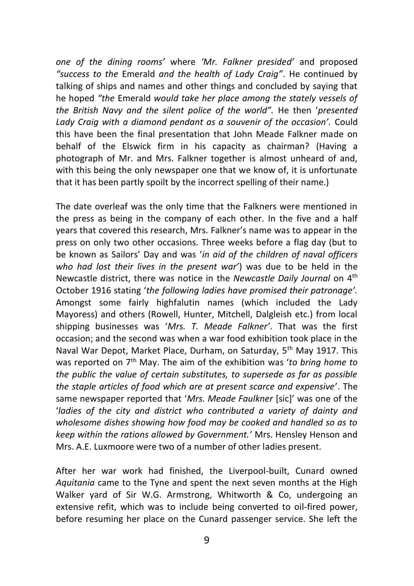*one of the dining rooms'* where *'Mr. Falkner presided'* and proposed *"success to the* Emerald *and the health of Lady Craig"*. He continued by talking of ships and names and other things and concluded by saying that he hoped *"the* Emerald *would take her place among the stately vessels of the British Navy and the silent police of the world".* He then '*presented Lady Craig with a diamond pendant as a souvenir of the occasion'.* Could this have been the final presentation that John Meade Falkner made on behalf of the Elswick firm in his capacity as chairman? (Having a photograph of Mr. and Mrs. Falkner together is almost unheard of and, with this being the only newspaper one that we know of, it is unfortunate that it has been partly spoilt by the incorrect spelling of their name.)

The date overleaf was the only time that the Falkners were mentioned in the press as being in the company of each other. In the five and a half years that covered this research, Mrs. Falkner's name was to appear in the press on only two other occasions. Three weeks before a flag day (but to be known as Sailors' Day and was '*in aid of the children of naval officers who had lost their lives in the present war'*) was due to be held in the Newcastle district, there was notice in the *Newcastle Daily Journal* on 4th October 1916 stating '*the following ladies have promised their patronage'.* Amongst some fairly highfalutin names (which included the Lady Mayoress) and others (Rowell, Hunter, Mitchell, Dalgleish etc.) from local shipping businesses was '*Mrs. T. Meade Falkner'*. That was the first occasion; and the second was when a war food exhibition took place in the Naval War Depot, Market Place, Durham, on Saturday, 5<sup>th</sup> May 1917. This was reported on 7th May. The aim of the exhibition was '*to bring home to the public the value of certain substitutes, to supersede as far as possible the staple articles of food which are at present scarce and expensive*'. The same newspaper reported that '*Mrs. Meade Faulkner* [sic]' was one of the '*ladies of the city and district who contributed a variety of dainty and wholesome dishes showing how food may be cooked and handled so as to keep within the rations allowed by Government.'* Mrs. Hensley Henson and Mrs. A.E. Luxmoore were two of a number of other ladies present.

After her war work had finished, the Liverpool-built, Cunard owned *Aquitania* came to the Tyne and spent the next seven months at the High Walker yard of Sir W.G. Armstrong, Whitworth & Co, undergoing an extensive refit, which was to include being converted to oil-fired power, before resuming her place on the Cunard passenger service. She left the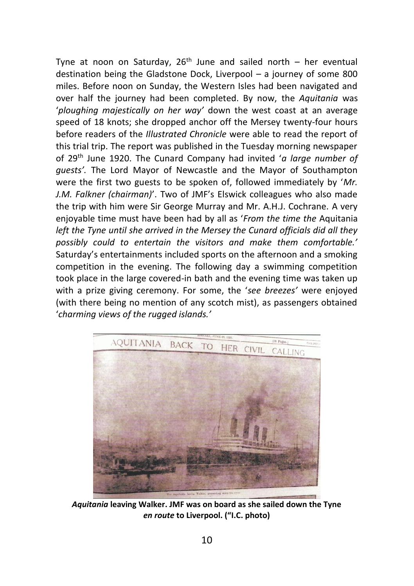Tyne at noon on Saturday,  $26<sup>th</sup>$  June and sailed north – her eventual destination being the Gladstone Dock, Liverpool – a journey of some 800 miles. Before noon on Sunday, the Western Isles had been navigated and over half the journey had been completed. By now, the *Aquitania* was '*ploughing majestically on her way'* down the west coast at an average speed of 18 knots; she dropped anchor off the Mersey twenty-four hours before readers of the *Illustrated Chronicle* were able to read the report of this trial trip. The report was published in the Tuesday morning newspaper of 29th June 1920. The Cunard Company had invited '*a large number of guests'.* The Lord Mayor of Newcastle and the Mayor of Southampton were the first two guests to be spoken of, followed immediately by '*Mr. J.M. Falkner (chairman)*'. Two of JMF's Elswick colleagues who also made the trip with him were Sir George Murray and Mr. A.H.J. Cochrane. A very enjoyable time must have been had by all as '*From the time the* Aquitania *left the Tyne until she arrived in the Mersey the Cunard officials did all they possibly could to entertain the visitors and make them comfortable.'* Saturday's entertainments included sports on the afternoon and a smoking competition in the evening. The following day a swimming competition took place in the large covered-in bath and the evening time was taken up with a prize giving ceremony. For some, the '*see breezes'* were enjoyed (with there being no mention of any scotch mist), as passengers obtained '*charming views of the rugged islands.'*



*Aquitania* **leaving Walker. JMF was on board as she sailed down the Tyne**  *en route* **to Liverpool. ("I.C. photo)**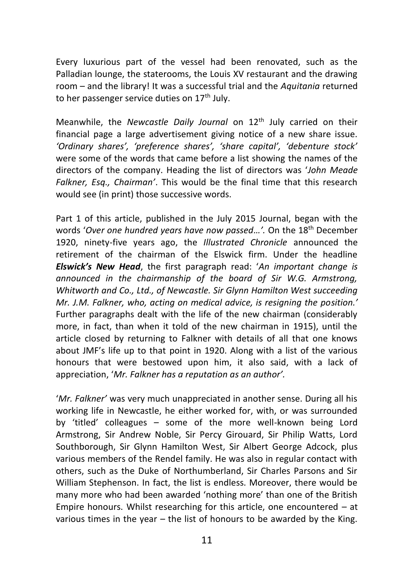Every luxurious part of the vessel had been renovated, such as the Palladian lounge, the staterooms, the Louis XV restaurant and the drawing room – and the library! It was a successful trial and the *Aquitania* returned to her passenger service duties on 17<sup>th</sup> July.

Meanwhile, the *Newcastle Daily Journal* on 12th July carried on their financial page a large advertisement giving notice of a new share issue. *'Ordinary shares', 'preference shares', 'share capital', 'debenture stock'* were some of the words that came before a list showing the names of the directors of the company. Heading the list of directors was '*John Meade Falkner, Esq., Chairman'*. This would be the final time that this research would see (in print) those successive words.

Part 1 of this article, published in the July 2015 Journal, began with the words '*Over one hundred years have now passed…'.* On the 18th December 1920, ninety-five years ago, the *Illustrated Chronicle* announced the retirement of the chairman of the Elswick firm. Under the headline *Elswick's New Head*, the first paragraph read: '*An important change is announced in the chairmanship of the board of Sir W.G. Armstrong, Whitworth and Co., Ltd., of Newcastle. Sir Glynn Hamilton West succeeding Mr. J.M. Falkner, who, acting on medical advice, is resigning the position.'* Further paragraphs dealt with the life of the new chairman (considerably more, in fact, than when it told of the new chairman in 1915), until the article closed by returning to Falkner with details of all that one knows about JMF's life up to that point in 1920. Along with a list of the various honours that were bestowed upon him, it also said, with a lack of appreciation, '*Mr. Falkner has a reputation as an author'.*

'*Mr. Falkner'* was very much unappreciated in another sense. During all his working life in Newcastle, he either worked for, with, or was surrounded by 'titled' colleagues – some of the more well-known being Lord Armstrong, Sir Andrew Noble, Sir Percy Girouard, Sir Philip Watts, Lord Southborough, Sir Glynn Hamilton West, Sir Albert George Adcock, plus various members of the Rendel family. He was also in regular contact with others, such as the Duke of Northumberland, Sir Charles Parsons and Sir William Stephenson. In fact, the list is endless. Moreover, there would be many more who had been awarded 'nothing more' than one of the British Empire honours. Whilst researching for this article, one encountered – at various times in the year – the list of honours to be awarded by the King.